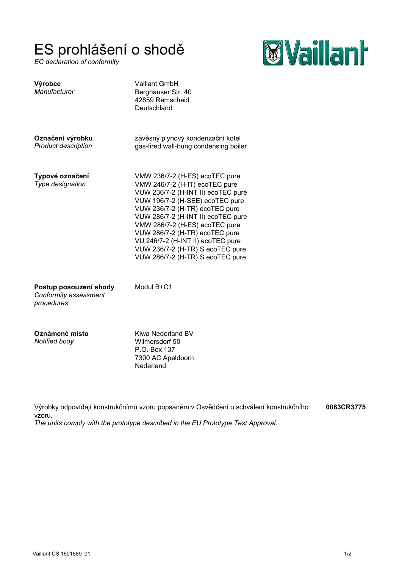## ES prohlášení o shodě

*EC declaration of conformity*



| Výrobce<br>Manufacturer                                       | Vaillant GmbH<br>Berghauser Str. 40<br>42859 Remscheid<br>Deutschland                                                                                                                                                                                                                                                                                                                              |
|---------------------------------------------------------------|----------------------------------------------------------------------------------------------------------------------------------------------------------------------------------------------------------------------------------------------------------------------------------------------------------------------------------------------------------------------------------------------------|
| Označení výrobku<br><b>Product description</b>                | závěsný plynový kondenzační kotel<br>gas-fired wall-hung condensing boiler                                                                                                                                                                                                                                                                                                                         |
| Typové označení<br>Type designation                           | VMW 236/7-2 (H-ES) ecoTEC pure<br>VMW 246/7-2 (H-IT) ecoTEC pure<br>VUW 236/7-2 (H-INT II) ecoTEC pure<br>VUW 196/7-2 (H-SEE) ecoTEC pure<br>VUW 236/7-2 (H-TR) ecoTEC pure<br>VUW 286/7-2 (H-INT II) ecoTEC pure<br>VMW 286/7-2 (H-ES) ecoTEC pure<br>VUW 286/7-2 (H-TR) ecoTEC pure<br>VU 246/7-2 (H-INT II) ecoTEC pure<br>VUW 236/7-2 (H-TR) S ecoTEC pure<br>VUW 286/7-2 (H-TR) S ecoTEC pure |
| Postup posouzení shody<br>Conformity assessment<br>procedures | Modul B+C1                                                                                                                                                                                                                                                                                                                                                                                         |

**Oznámené místo** *Notified body*

Kiwa Nederland BV Wilmersdorf 50 P.O. Box 137 7300 AC Apeldoorn Nederland

Výrobky odpovídají konstrukčnímu vzoru popsaném v Osvědčení o schválení konstrukčního vzoru. *The units comply with the prototype described in the EU Prototype Test Approval.* **0063CR3775**